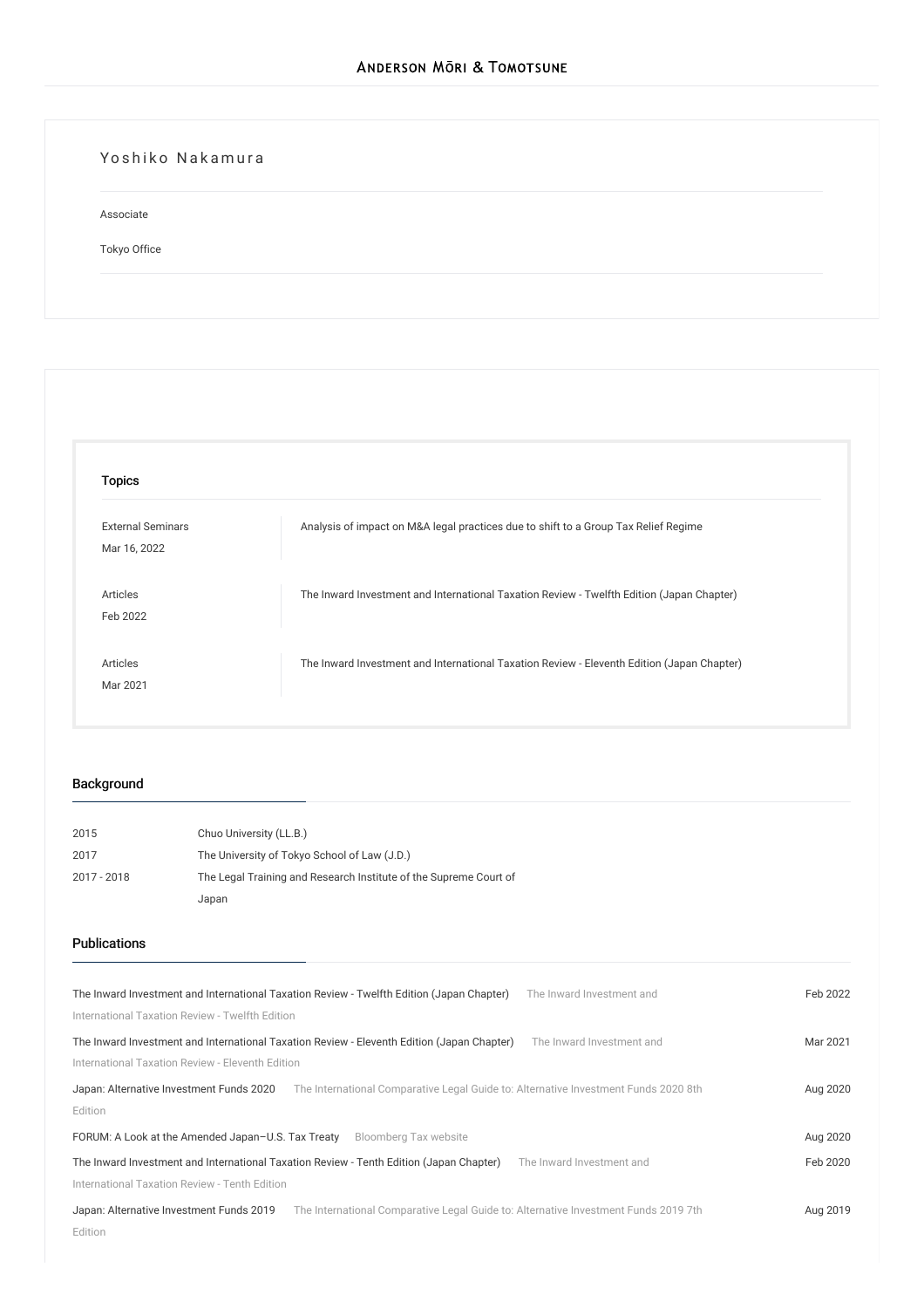## Yoshiko Nakamura

Associate

[Tokyo](/en/locations/tokyo) Office

| <b>Topics</b>            |                                                                                            |
|--------------------------|--------------------------------------------------------------------------------------------|
| <b>External Seminars</b> | Analysis of impact on M&A legal practices due to shift to a Group Tax Relief Regime        |
| Mar 16, 2022             |                                                                                            |
| Articles                 | The Inward Investment and International Taxation Review - Twelfth Edition (Japan Chapter)  |
| Feb 2022                 |                                                                                            |
| Articles                 | The Inward Investment and International Taxation Review - Eleventh Edition (Japan Chapter) |
| Mar 2021                 |                                                                                            |

## Background

| 2015        | Chuo University (LL.B.)                                           |
|-------------|-------------------------------------------------------------------|
| 2017        | The University of Tokyo School of Law (J.D.)                      |
| 2017 - 2018 | The Legal Training and Research Institute of the Supreme Court of |
|             | Japan                                                             |

#### Publications

| The Inward Investment and International Taxation Review - Twelfth Edition (Japan Chapter)<br>The Inward Investment and          | Feb 2022 |
|---------------------------------------------------------------------------------------------------------------------------------|----------|
| International Taxation Review - Twelfth Edition                                                                                 |          |
| The Inward Investment and International Taxation Review - Eleventh Edition (Japan Chapter)<br>The Inward Investment and         | Mar 2021 |
| International Taxation Review - Eleventh Edition                                                                                |          |
| The International Comparative Legal Guide to: Alternative Investment Funds 2020 8th<br>Japan: Alternative Investment Funds 2020 | Aug 2020 |
| Edition                                                                                                                         |          |
| Bloomberg Tax website<br>FORUM: A Look at the Amended Japan-U.S. Tax Treaty                                                     | Aug 2020 |
| The Inward Investment and International Taxation Review - Tenth Edition (Japan Chapter)<br>The Inward Investment and            |          |
| International Taxation Review - Tenth Edition                                                                                   |          |
| Japan: Alternative Investment Funds 2019<br>The International Comparative Legal Guide to: Alternative Investment Funds 2019 7th | Aug 2019 |
| Edition                                                                                                                         |          |